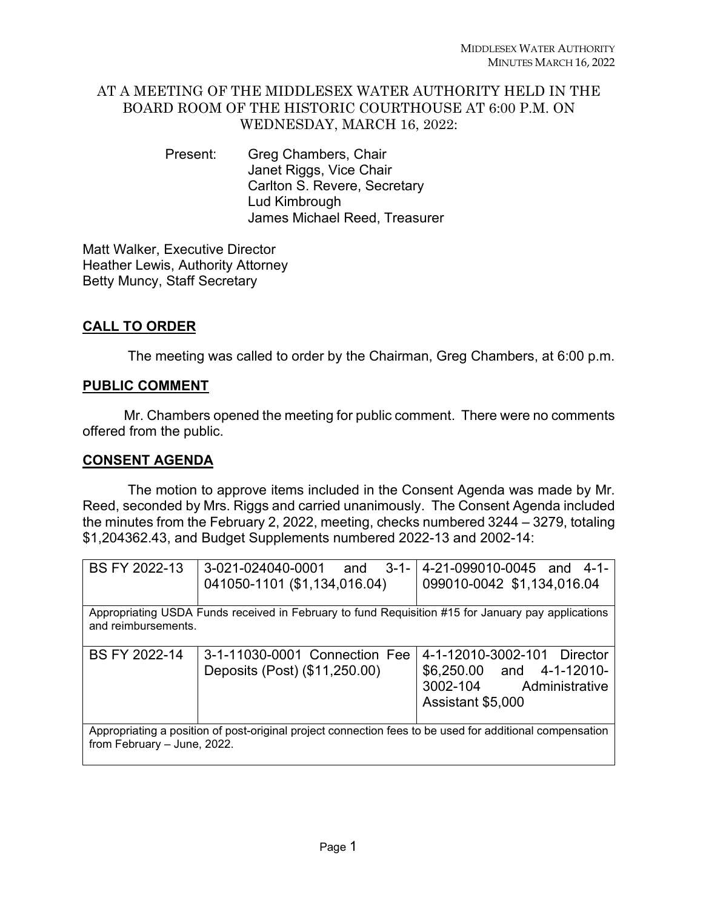### AT A MEETING OF THE MIDDLESEX WATER AUTHORITY HELD IN THE BOARD ROOM OF THE HISTORIC COURTHOUSE AT 6:00 P.M. ON WEDNESDAY, MARCH 16, 2022:

Present: Greg Chambers, Chair Janet Riggs, Vice Chair Carlton S. Revere, Secretary Lud Kimbrough James Michael Reed, Treasurer

Matt Walker, Executive Director Heather Lewis, Authority Attorney Betty Muncy, Staff Secretary

# **CALL TO ORDER**

The meeting was called to order by the Chairman, Greg Chambers, at 6:00 p.m.

## **PUBLIC COMMENT**

Mr. Chambers opened the meeting for public comment. There were no comments offered from the public.

## **CONSENT AGENDA**

The motion to approve items included in the Consent Agenda was made by Mr. Reed, seconded by Mrs. Riggs and carried unanimously. The Consent Agenda included the minutes from the February 2, 2022, meeting, checks numbered 3244 – 3279, totaling \$1,204362.43, and Budget Supplements numbered 2022-13 and 2002-14:

| BS FY 2022-13                                                                                                                           | 3-021-024040-0001<br>and                                       | 3-1-14-21-099010-0045 and 4-1-                                                                           |
|-----------------------------------------------------------------------------------------------------------------------------------------|----------------------------------------------------------------|----------------------------------------------------------------------------------------------------------|
|                                                                                                                                         | 041050-1101 (\$1,134,016.04)                                   | 099010-0042 \$1,134,016.04                                                                               |
|                                                                                                                                         |                                                                |                                                                                                          |
| Appropriating USDA Funds received in February to fund Requisition #15 for January pay applications<br>and reimbursements.               |                                                                |                                                                                                          |
|                                                                                                                                         |                                                                |                                                                                                          |
| BS FY 2022-14                                                                                                                           | 3-1-11030-0001 Connection Fee<br>Deposits (Post) (\$11,250.00) | 4-1-12010-3002-101 Director<br>\$6,250.00 and 4-1-12010-<br>3002-104 Administrative<br>Assistant \$5,000 |
| Appropriating a position of post-original project connection fees to be used for additional compensation<br>from February - June, 2022. |                                                                |                                                                                                          |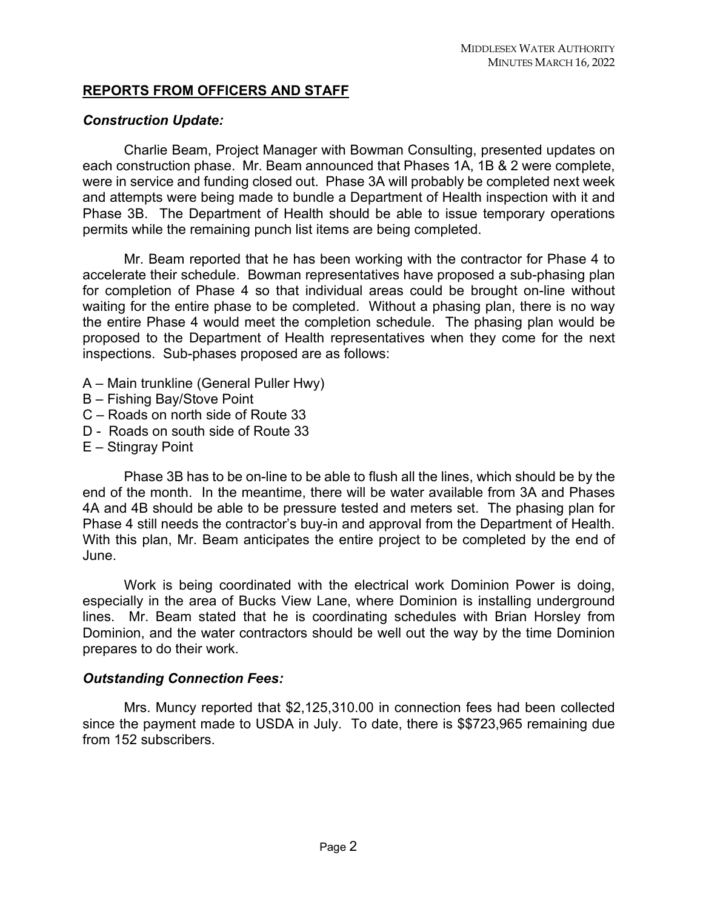### **REPORTS FROM OFFICERS AND STAFF**

### *Construction Update:*

Charlie Beam, Project Manager with Bowman Consulting, presented updates on each construction phase. Mr. Beam announced that Phases 1A, 1B & 2 were complete, were in service and funding closed out. Phase 3A will probably be completed next week and attempts were being made to bundle a Department of Health inspection with it and Phase 3B. The Department of Health should be able to issue temporary operations permits while the remaining punch list items are being completed.

Mr. Beam reported that he has been working with the contractor for Phase 4 to accelerate their schedule. Bowman representatives have proposed a sub-phasing plan for completion of Phase 4 so that individual areas could be brought on-line without waiting for the entire phase to be completed. Without a phasing plan, there is no way the entire Phase 4 would meet the completion schedule. The phasing plan would be proposed to the Department of Health representatives when they come for the next inspections. Sub-phases proposed are as follows:

- A Main trunkline (General Puller Hwy)
- B Fishing Bay/Stove Point
- C Roads on north side of Route 33
- D Roads on south side of Route 33
- E Stingray Point

Phase 3B has to be on-line to be able to flush all the lines, which should be by the end of the month. In the meantime, there will be water available from 3A and Phases 4A and 4B should be able to be pressure tested and meters set. The phasing plan for Phase 4 still needs the contractor's buy-in and approval from the Department of Health. With this plan, Mr. Beam anticipates the entire project to be completed by the end of June.

Work is being coordinated with the electrical work Dominion Power is doing, especially in the area of Bucks View Lane, where Dominion is installing underground lines. Mr. Beam stated that he is coordinating schedules with Brian Horsley from Dominion, and the water contractors should be well out the way by the time Dominion prepares to do their work.

### *Outstanding Connection Fees:*

Mrs. Muncy reported that \$2,125,310.00 in connection fees had been collected since the payment made to USDA in July. To date, there is \$\$723,965 remaining due from 152 subscribers.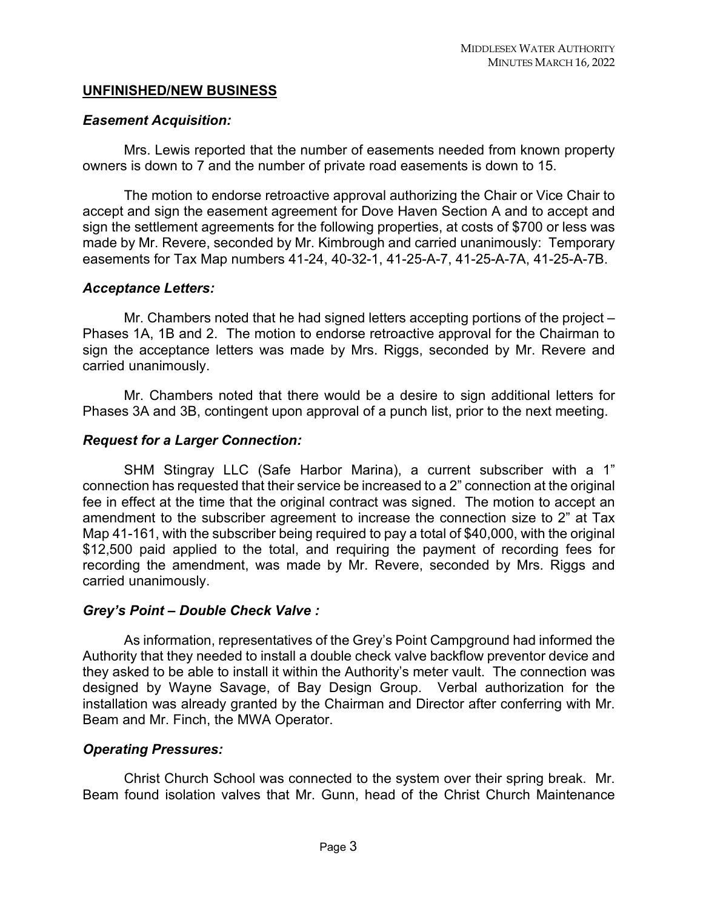### **UNFINISHED/NEW BUSINESS**

#### *Easement Acquisition:*

Mrs. Lewis reported that the number of easements needed from known property owners is down to 7 and the number of private road easements is down to 15.

The motion to endorse retroactive approval authorizing the Chair or Vice Chair to accept and sign the easement agreement for Dove Haven Section A and to accept and sign the settlement agreements for the following properties, at costs of \$700 or less was made by Mr. Revere, seconded by Mr. Kimbrough and carried unanimously: Temporary easements for Tax Map numbers 41-24, 40-32-1, 41-25-A-7, 41-25-A-7A, 41-25-A-7B.

#### *Acceptance Letters:*

Mr. Chambers noted that he had signed letters accepting portions of the project – Phases 1A, 1B and 2. The motion to endorse retroactive approval for the Chairman to sign the acceptance letters was made by Mrs. Riggs, seconded by Mr. Revere and carried unanimously.

Mr. Chambers noted that there would be a desire to sign additional letters for Phases 3A and 3B, contingent upon approval of a punch list, prior to the next meeting.

### *Request for a Larger Connection:*

SHM Stingray LLC (Safe Harbor Marina), a current subscriber with a 1" connection has requested that their service be increased to a 2" connection at the original fee in effect at the time that the original contract was signed. The motion to accept an amendment to the subscriber agreement to increase the connection size to 2" at Tax Map 41-161, with the subscriber being required to pay a total of \$40,000, with the original \$12,500 paid applied to the total, and requiring the payment of recording fees for recording the amendment, was made by Mr. Revere, seconded by Mrs. Riggs and carried unanimously.

#### *Grey's Point – Double Check Valve :*

As information, representatives of the Grey's Point Campground had informed the Authority that they needed to install a double check valve backflow preventor device and they asked to be able to install it within the Authority's meter vault. The connection was designed by Wayne Savage, of Bay Design Group. Verbal authorization for the installation was already granted by the Chairman and Director after conferring with Mr. Beam and Mr. Finch, the MWA Operator.

#### *Operating Pressures:*

Christ Church School was connected to the system over their spring break. Mr. Beam found isolation valves that Mr. Gunn, head of the Christ Church Maintenance